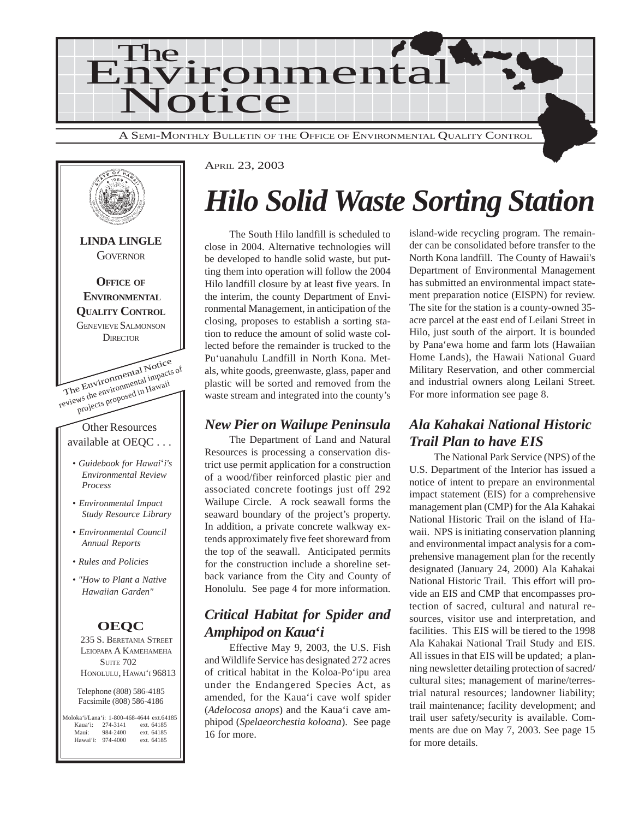



## *Hilo Solid Waste Sorting Station*

The South Hilo landfill is scheduled to close in 2004. Alternative technologies will be developed to handle solid waste, but putting them into operation will follow the 2004 Hilo landfill closure by at least five years. In the interim, the county Department of Environmental Management, in anticipation of the closing, proposes to establish a sorting station to reduce the amount of solid waste collected before the remainder is trucked to the Pu'uanahulu Landfill in North Kona. Metals, white goods, greenwaste, glass, paper and plastic will be sorted and removed from the waste stream and integrated into the county's

#### *New Pier on Wailupe Peninsula*

The Department of Land and Natural Resources is processing a conservation district use permit application for a construction of a wood/fiber reinforced plastic pier and associated concrete footings just off 292 Wailupe Circle. A rock seawall forms the seaward boundary of the project's property. In addition, a private concrete walkway extends approximately five feet shoreward from the top of the seawall. Anticipated permits for the construction include a shoreline setback variance from the City and County of Honolulu. See page 4 for more information.

### *Critical Habitat for Spider and Amphipod on Kaua***'***i*

Effective May 9, 2003, the U.S. Fish and Wildlife Service has designated 272 acres of critical habitat in the Koloa-Po'ipu area under the Endangered Species Act, as amended, for the Kaua'i cave wolf spider (*Adelocosa anops*) and the Kaua'i cave amphipod (*Spelaeorchestia koloana*). See page 16 for more.

island-wide recycling program. The remainder can be consolidated before transfer to the North Kona landfill. The County of Hawaii's Department of Environmental Management has submitted an environmental impact statement preparation notice (EISPN) for review. The site for the station is a county-owned 35 acre parcel at the east end of Leilani Street in Hilo, just south of the airport. It is bounded by Pana'ewa home and farm lots (Hawaiian Home Lands), the Hawaii National Guard Military Reservation, and other commercial and industrial owners along Leilani Street. For more information see page 8.

### *Ala Kahakai National Historic Trail Plan to have EIS*

The National Park Service (NPS) of the U.S. Department of the Interior has issued a notice of intent to prepare an environmental impact statement (EIS) for a comprehensive management plan (CMP) for the Ala Kahakai National Historic Trail on the island of Hawaii. NPS is initiating conservation planning and environmental impact analysis for a comprehensive management plan for the recently designated (January 24, 2000) Ala Kahakai National Historic Trail. This effort will provide an EIS and CMP that encompasses protection of sacred, cultural and natural resources, visitor use and interpretation, and facilities. This EIS will be tiered to the 1998 Ala Kahakai National Trail Study and EIS. All issues in that EIS will be updated; a planning newsletter detailing protection of sacred/ cultural sites; management of marine/terrestrial natural resources; landowner liability; trail maintenance; facility development; and trail user safety/security is available. Comments are due on May 7, 2003. See page 15 for more details.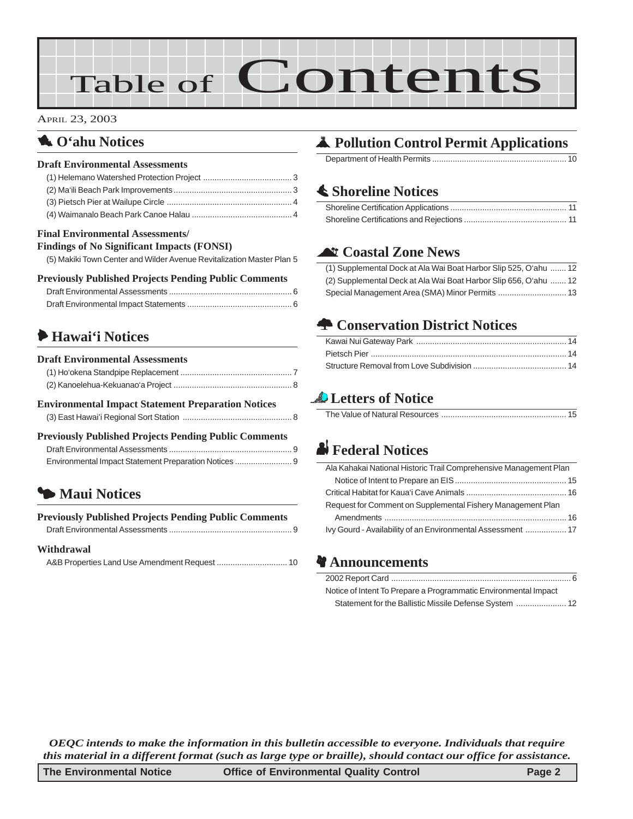# Table of Contents

#### APRIL 23, 2003

### **1.** O'ahu Notices

#### **Draft Environmental Assessments**

| $\mathbf{u}$ , and a set of the set of the set of the set of the set of the set of the set of the set of the set of the set of the set of the set of the set of the set of the set of the set of the set of the set of the set of |  |
|-----------------------------------------------------------------------------------------------------------------------------------------------------------------------------------------------------------------------------------|--|

#### **Final Environmental Assessments/**

**Findings of No Significant Impacts (FONSI)** [\(5\) Makiki Town Center and Wilder Avenue Revitalization Master Plan 5](#page-4-0)

#### **Previously Published Projects Pending Public Comments**

## 6 **Hawai'i Notices**

| <b>Draft Environmental Assessments</b>                       |  |
|--------------------------------------------------------------|--|
|                                                              |  |
|                                                              |  |
| <b>Environmental Impact Statement Preparation Notices</b>    |  |
| <b>Previously Published Projects Pending Public Comments</b> |  |
| Environmental Impact Statement Preparation Notices  9        |  |
|                                                              |  |

## 3 **Maui Notices**

| <b>Previously Published Projects Pending Public Comments</b> |  |
|--------------------------------------------------------------|--|
|                                                              |  |

#### **Withdrawal**

|--|

## V **Pollution Control Permit Applications**

Department of Health Permits ........................................................... 10

## s **Shoreline Notices**

### ^ **Coastal Zone News**

| (1) Supplemental Dock at Ala Wai Boat Harbor Slip 525, O'ahu  12 |  |
|------------------------------------------------------------------|--|
| (2) Supplemental Deck at Ala Wai Boat Harbor Slip 656, O'ahu  12 |  |
|                                                                  |  |

## n **Conservation District Notices**

## **Letters of Notice**

|--|

## x **Federal Notices**

| Ala Kahakai National Historic Trail Comprehensive Management Plan |
|-------------------------------------------------------------------|
|                                                                   |
|                                                                   |
| Request for Comment on Supplemental Fishery Management Plan       |
|                                                                   |
| Ivy Gourd - Availability of an Environmental Assessment  17       |

#### **a** Announcements

| Notice of Intent To Prepare a Programmatic Environmental Impact |
|-----------------------------------------------------------------|
|                                                                 |

*OEQC intends to make the information in this bulletin accessible to everyone. Individuals that require this material in a different format (such as large type or braille), should contact our office for assistance.*

| The Environmental Notice | <b>Office of Environmental Quality Control</b> | Page 2 |
|--------------------------|------------------------------------------------|--------|
|--------------------------|------------------------------------------------|--------|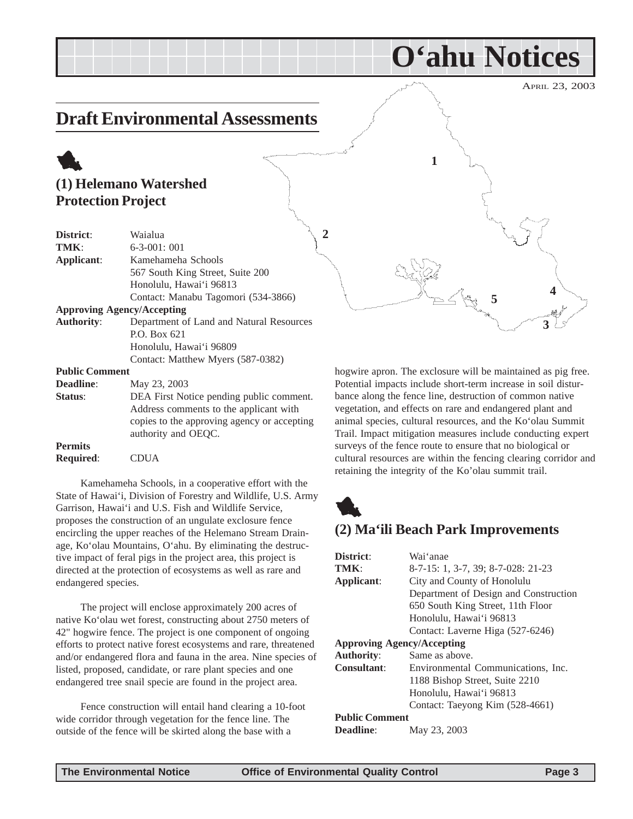## <span id="page-2-0"></span>**Draft Environmental Assessments**

## 1 **(1) Helemano Watershed Protection Project**

| District:             | Waialua                                     |
|-----------------------|---------------------------------------------|
| TMK:                  | $6 - 3 - 001$ : 001                         |
| Applicant:            | Kamehameha Schools                          |
|                       | 567 South King Street, Suite 200            |
|                       | Honolulu, Hawai'i 96813                     |
|                       | Contact: Manabu Tagomori (534-3866)         |
|                       | <b>Approving Agency/Accepting</b>           |
| <b>Authority:</b>     | Department of Land and Natural Resources    |
|                       | P.O. Box 621                                |
|                       | Honolulu, Hawai'i 96809                     |
|                       | Contact: Matthew Myers (587-0382)           |
| <b>Public Comment</b> |                                             |
| Deadline:             | May 23, 2003                                |
| Status:               | DEA First Notice pending public comment.    |
|                       | Address comments to the applicant with      |
|                       | copies to the approving agency or accepting |
|                       | authority and OEQC.                         |
| <b>Permits</b>        |                                             |

| <b>Required:</b> | <b>CDUA</b> |
|------------------|-------------|
|------------------|-------------|

Kamehameha Schools, in a cooperative effort with the State of Hawai'i, Division of Forestry and Wildlife, U.S. Army Garrison, Hawai'i and U.S. Fish and Wildlife Service, proposes the construction of an ungulate exclosure fence encircling the upper reaches of the Helemano Stream Drainage, Ko'olau Mountains, O'ahu. By eliminating the destructive impact of feral pigs in the project area, this project is directed at the protection of ecosystems as well as rare and endangered species.

The project will enclose approximately 200 acres of native Ko'olau wet forest, constructing about 2750 meters of 42" hogwire fence. The project is one component of ongoing efforts to protect native forest ecosystems and rare, threatened and/or endangered flora and fauna in the area. Nine species of listed, proposed, candidate, or rare plant species and one endangered tree snail specie are found in the project area.

Fence construction will entail hand clearing a 10-foot wide corridor through vegetation for the fence line. The outside of the fence will be skirted along the base with a

**1 3 4 2 5**

**O'ahu Notices**

hogwire apron. The exclosure will be maintained as pig free. Potential impacts include short-term increase in soil disturbance along the fence line, destruction of common native vegetation, and effects on rare and endangered plant and animal species, cultural resources, and the Ko'olau Summit Trail. Impact mitigation measures include conducting expert surveys of the fence route to ensure that no biological or cultural resources are within the fencing clearing corridor and retaining the integrity of the Ko'olau summit trail.



#### **(2) Ma'ili Beach Park Improvements**

| District:             | Wai'anae                              |
|-----------------------|---------------------------------------|
| TMK:                  | 8-7-15: 1, 3-7, 39; 8-7-028: 21-23    |
| Applicant:            | City and County of Honolulu           |
|                       | Department of Design and Construction |
|                       | 650 South King Street, 11th Floor     |
|                       | Honolulu, Hawai'i 96813               |
|                       | Contact: Laverne Higa (527-6246)      |
|                       | <b>Approving Agency/Accepting</b>     |
| <b>Authority:</b>     | Same as above.                        |
| <b>Consultant:</b>    | Environmental Communications, Inc.    |
|                       | 1188 Bishop Street, Suite 2210        |
|                       | Honolulu, Hawai'i 96813               |
|                       | Contact: Taeyong Kim (528-4661)       |
| <b>Public Comment</b> |                                       |
| <b>Deadline:</b>      | May 23, 2003                          |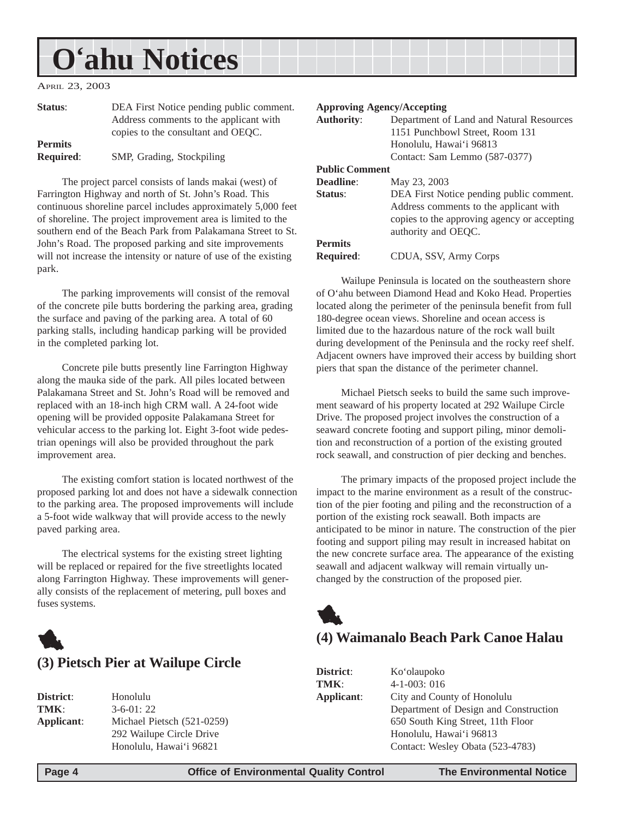## <span id="page-3-0"></span>**O'ahu Notices**

APRIL 23, 2003

| Status:          | DEA First Notice pending public comment. |
|------------------|------------------------------------------|
|                  | Address comments to the applicant with   |
|                  | copies to the consultant and OEQC.       |
| <b>Permits</b>   |                                          |
| <b>Required:</b> | SMP, Grading, Stockpiling                |

The project parcel consists of lands makai (west) of Farrington Highway and north of St. John's Road. This continuous shoreline parcel includes approximately 5,000 feet of shoreline. The project improvement area is limited to the southern end of the Beach Park from Palakamana Street to St. John's Road. The proposed parking and site improvements will not increase the intensity or nature of use of the existing park.

The parking improvements will consist of the removal of the concrete pile butts bordering the parking area, grading the surface and paving of the parking area. A total of 60 parking stalls, including handicap parking will be provided in the completed parking lot.

Concrete pile butts presently line Farrington Highway along the mauka side of the park. All piles located between Palakamana Street and St. John's Road will be removed and replaced with an 18-inch high CRM wall. A 24-foot wide opening will be provided opposite Palakamana Street for vehicular access to the parking lot. Eight 3-foot wide pedestrian openings will also be provided throughout the park improvement area.

The existing comfort station is located northwest of the proposed parking lot and does not have a sidewalk connection to the parking area. The proposed improvements will include a 5-foot wide walkway that will provide access to the newly paved parking area.

The electrical systems for the existing street lighting will be replaced or repaired for the five streetlights located along Farrington Highway. These improvements will generally consists of the replacement of metering, pull boxes and fuses systems.



| Honolulu                   |
|----------------------------|
| $3-6-01:22$                |
| Michael Pietsch (521-0259) |
| 292 Wailupe Circle Drive   |
| Honolulu, Hawai'i 96821    |
|                            |

#### **Approving Agency/Accepting**

| <b>Authority:</b>     | Department of Land and Natural Resources    |
|-----------------------|---------------------------------------------|
|                       | 1151 Punchbowl Street, Room 131             |
|                       | Honolulu, Hawai'i 96813                     |
|                       | Contact: Sam Lemmo (587-0377)               |
| <b>Public Comment</b> |                                             |
| <b>Deadline:</b>      | May 23, 2003                                |
| Status:               | DEA First Notice pending public comment.    |
|                       | Address comments to the applicant with      |
|                       | copies to the approving agency or accepting |
|                       | authority and OEQC.                         |
| <b>Permits</b>        |                                             |
| <b>Required:</b>      | CDUA, SSV, Army Corps                       |

Wailupe Peninsula is located on the southeastern shore of O'ahu between Diamond Head and Koko Head. Properties located along the perimeter of the peninsula benefit from full 180-degree ocean views. Shoreline and ocean access is limited due to the hazardous nature of the rock wall built during development of the Peninsula and the rocky reef shelf. Adjacent owners have improved their access by building short piers that span the distance of the perimeter channel.

Michael Pietsch seeks to build the same such improvement seaward of his property located at 292 Wailupe Circle Drive. The proposed project involves the construction of a seaward concrete footing and support piling, minor demolition and reconstruction of a portion of the existing grouted rock seawall, and construction of pier decking and benches.

The primary impacts of the proposed project include the impact to the marine environment as a result of the construction of the pier footing and piling and the reconstruction of a portion of the existing rock seawall. Both impacts are anticipated to be minor in nature. The construction of the pier footing and support piling may result in increased habitat on the new concrete surface area. The appearance of the existing seawall and adjacent walkway will remain virtually unchanged by the construction of the proposed pier.



#### **(4) Waimanalo Beach Park Canoe Halau**

| District:  | Ko'olaupoko                           |
|------------|---------------------------------------|
| TMK:       | $4-1-003:016$                         |
| Applicant: | City and County of Honolulu           |
|            | Department of Design and Construction |
|            | 650 South King Street, 11th Floor     |
|            | Honolulu, Hawai'i 96813               |
|            | Contact: Wesley Obata (523-4783)      |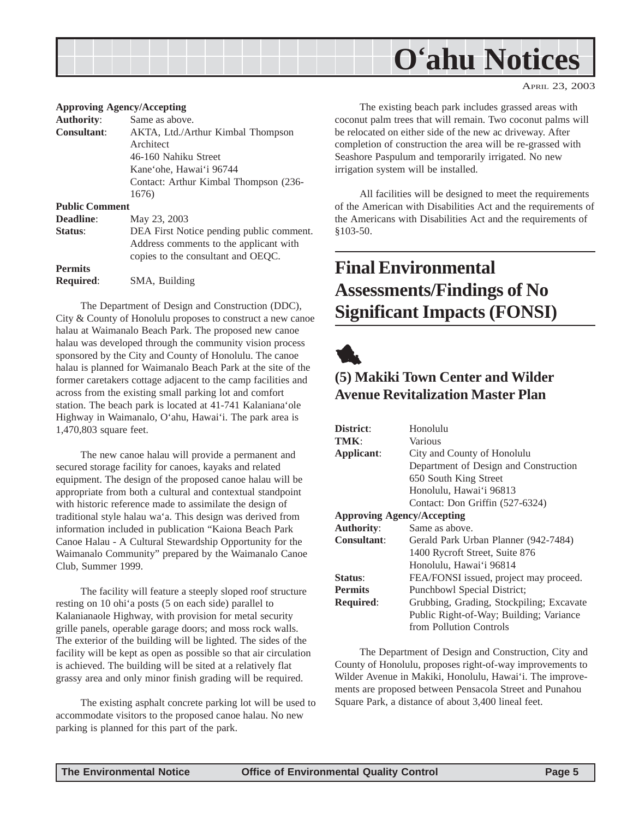## **O'ahu Notices**

#### APRIL 23, 2003

#### <span id="page-4-0"></span>**Approving Agency/Accepting**

| <b>Authority:</b>     | Same as above.                           |
|-----------------------|------------------------------------------|
| <b>Consultant:</b>    | AKTA, Ltd./Arthur Kimbal Thompson        |
|                       | Architect                                |
|                       | 46-160 Nahiku Street                     |
|                       | Kane'ohe, Hawai'i 96744                  |
|                       | Contact: Arthur Kimbal Thompson (236-    |
|                       | 1676)                                    |
| <b>Public Comment</b> |                                          |
| Deadline:             | May 23, 2003                             |
| Status:               | DEA First Notice pending public comment. |
|                       | Address comments to the applicant with   |
|                       | copies to the consultant and OEQC.       |
| <b>Permits</b>        |                                          |
| <b>Required:</b>      | SMA, Building                            |

The Department of Design and Construction (DDC), City & County of Honolulu proposes to construct a new canoe halau at Waimanalo Beach Park. The proposed new canoe halau was developed through the community vision process sponsored by the City and County of Honolulu. The canoe halau is planned for Waimanalo Beach Park at the site of the former caretakers cottage adjacent to the camp facilities and across from the existing small parking lot and comfort station. The beach park is located at 41-741 Kalaniana'ole Highway in Waimanalo, O'ahu, Hawai'i. The park area is 1,470,803 square feet.

The new canoe halau will provide a permanent and secured storage facility for canoes, kayaks and related equipment. The design of the proposed canoe halau will be appropriate from both a cultural and contextual standpoint with historic reference made to assimilate the design of traditional style halau wa'a. This design was derived from information included in publication "Kaiona Beach Park Canoe Halau - A Cultural Stewardship Opportunity for the Waimanalo Community" prepared by the Waimanalo Canoe Club, Summer 1999.

The facility will feature a steeply sloped roof structure resting on 10 ohi'a posts (5 on each side) parallel to Kalanianaole Highway, with provision for metal security grille panels, operable garage doors; and moss rock walls. The exterior of the building will be lighted. The sides of the facility will be kept as open as possible so that air circulation is achieved. The building will be sited at a relatively flat grassy area and only minor finish grading will be required.

The existing asphalt concrete parking lot will be used to accommodate visitors to the proposed canoe halau. No new parking is planned for this part of the park.

The existing beach park includes grassed areas with coconut palm trees that will remain. Two coconut palms will be relocated on either side of the new ac driveway. After completion of construction the area will be re-grassed with Seashore Paspulum and temporarily irrigated. No new irrigation system will be installed.

All facilities will be designed to meet the requirements of the American with Disabilities Act and the requirements of the Americans with Disabilities Act and the requirements of §103-50.

## **Final Environmental Assessments/Findings of No Significant Impacts (FONSI)**



## **(5) Makiki Town Center and Wilder Avenue Revitalization Master Plan**

| District:                         | Honolulu                                 |
|-----------------------------------|------------------------------------------|
| TMK:                              | Various                                  |
| Applicant:                        | City and County of Honolulu              |
|                                   | Department of Design and Construction    |
|                                   | 650 South King Street                    |
|                                   | Honolulu, Hawai'i 96813                  |
|                                   | Contact: Don Griffin (527-6324)          |
| <b>Approving Agency/Accepting</b> |                                          |
| <b>Authority:</b>                 | Same as above.                           |
| <b>Consultant:</b>                | Gerald Park Urban Planner (942-7484)     |
|                                   | 1400 Rycroft Street, Suite 876           |
|                                   | Honolulu, Hawai'i 96814                  |
| Status:                           | FEA/FONSI issued, project may proceed.   |
| <b>Permits</b>                    | Punchbowl Special District;              |
| <b>Required:</b>                  | Grubbing, Grading, Stockpiling; Excavate |
|                                   | Public Right-of-Way; Building; Variance  |
|                                   | from Pollution Controls                  |

The Department of Design and Construction, City and County of Honolulu, proposes right-of-way improvements to Wilder Avenue in Makiki, Honolulu, Hawai'i. The improvements are proposed between Pensacola Street and Punahou Square Park, a distance of about 3,400 lineal feet.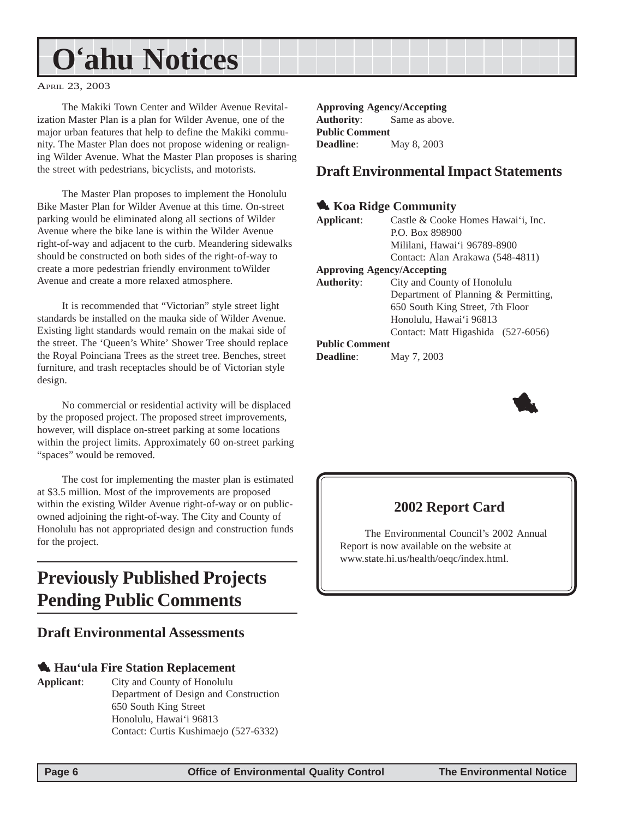## <span id="page-5-0"></span>**O'ahu Notices**

APRIL 23, 2003

The Makiki Town Center and Wilder Avenue Revitalization Master Plan is a plan for Wilder Avenue, one of the major urban features that help to define the Makiki community. The Master Plan does not propose widening or realigning Wilder Avenue. What the Master Plan proposes is sharing the street with pedestrians, bicyclists, and motorists.

The Master Plan proposes to implement the Honolulu Bike Master Plan for Wilder Avenue at this time. On-street parking would be eliminated along all sections of Wilder Avenue where the bike lane is within the Wilder Avenue right-of-way and adjacent to the curb. Meandering sidewalks should be constructed on both sides of the right-of-way to create a more pedestrian friendly environment toWilder Avenue and create a more relaxed atmosphere.

It is recommended that "Victorian" style street light standards be installed on the mauka side of Wilder Avenue. Existing light standards would remain on the makai side of the street. The 'Queen's White' Shower Tree should replace the Royal Poinciana Trees as the street tree. Benches, street furniture, and trash receptacles should be of Victorian style design.

No commercial or residential activity will be displaced by the proposed project. The proposed street improvements, however, will displace on-street parking at some locations within the project limits. Approximately 60 on-street parking "spaces" would be removed.

The cost for implementing the master plan is estimated at \$3.5 million. Most of the improvements are proposed within the existing Wilder Avenue right-of-way or on publicowned adjoining the right-of-way. The City and County of Honolulu has not appropriated design and construction funds for the project.

## **Previously Published Projects Pending Public Comments**

#### **Draft Environmental Assessments**

#### 1 **Hau'ula Fire Station Replacement**

**Applicant**: City and County of Honolulu Department of Design and Construction 650 South King Street Honolulu, Hawai'i 96813 Contact: Curtis Kushimaejo (527-6332)

**Approving Agency/Accepting Authority**: Same as above. **Public Comment Deadline**: May 8, 2003

#### **Draft Environmental Impact Statements**

#### **1. Koa Ridge Community**

| Applicant:                        | Castle & Cooke Homes Hawai'i, Inc.   |
|-----------------------------------|--------------------------------------|
|                                   | P.O. Box 898900                      |
|                                   | Mililani, Hawai'i 96789-8900         |
|                                   | Contact: Alan Arakawa (548-4811)     |
| <b>Approving Agency/Accepting</b> |                                      |
| <b>Authority:</b>                 | City and County of Honolulu          |
|                                   | Department of Planning & Permitting, |
|                                   | 650 South King Street, 7th Floor     |
|                                   | Honolulu, Hawai'i 96813              |
|                                   | Contact: Matt Higashida (527-6056)   |
| <b>Public Comment</b>             |                                      |
| <b>Deadline:</b>                  | May 7, 2003                          |



#### **2002 Report Card**

The Environmental Council's 2002 Annual Report is now available on the website at www.state.hi.us/health/oeqc/index.html.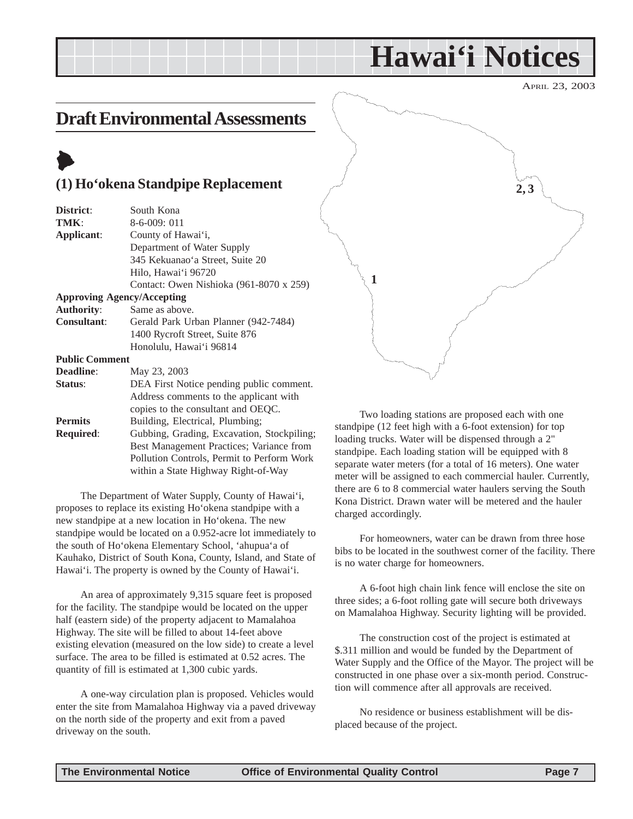## **Hawai'i Notices**

APRIL 23, 2003

## <span id="page-6-0"></span>**Draft Environmental Assessments**

## $\blacktriangleright$

#### **(1) Ho'okena Standpipe Replacement**

| District:             | South Kona                                 |
|-----------------------|--------------------------------------------|
| TMK:                  | $8-6-009:011$                              |
| Applicant:            | County of Hawai'i,                         |
|                       | Department of Water Supply                 |
|                       | 345 Kekuanao'a Street, Suite 20            |
|                       | Hilo, Hawai'i 96720                        |
|                       | Contact: Owen Nishioka (961-8070 x 259)    |
|                       | <b>Approving Agency/Accepting</b>          |
| <b>Authority:</b>     | Same as above.                             |
| <b>Consultant:</b>    | Gerald Park Urban Planner (942-7484)       |
|                       | 1400 Rycroft Street, Suite 876             |
|                       | Honolulu, Hawai'i 96814                    |
| <b>Public Comment</b> |                                            |
| <b>Deadline:</b>      | May 23, 2003                               |
| Status:               | DEA First Notice pending public comment.   |
|                       | Address comments to the applicant with     |
|                       | copies to the consultant and OEQC.         |
| <b>Permits</b>        | Building, Electrical, Plumbing;            |
| <b>Required:</b>      | Gubbing, Grading, Excavation, Stockpiling; |
|                       | Best Management Practices; Variance from   |
|                       | Pollution Controls, Permit to Perform Work |

The Department of Water Supply, County of Hawai'i, proposes to replace its existing Ho'okena standpipe with a new standpipe at a new location in Ho'okena. The new standpipe would be located on a 0.952-acre lot immediately to the south of Ho'okena Elementary School, 'ahupua'a of Kauhako, District of South Kona, County, Island, and State of Hawai'i. The property is owned by the County of Hawai'i.

within a State Highway Right-of-Way

An area of approximately 9,315 square feet is proposed for the facility. The standpipe would be located on the upper half (eastern side) of the property adjacent to Mamalahoa Highway. The site will be filled to about 14-feet above existing elevation (measured on the low side) to create a level surface. The area to be filled is estimated at 0.52 acres. The quantity of fill is estimated at 1,300 cubic yards.

A one-way circulation plan is proposed. Vehicles would enter the site from Mamalahoa Highway via a paved driveway on the north side of the property and exit from a paved driveway on the south.



Two loading stations are proposed each with one standpipe (12 feet high with a 6-foot extension) for top loading trucks. Water will be dispensed through a 2" standpipe. Each loading station will be equipped with 8 separate water meters (for a total of 16 meters). One water meter will be assigned to each commercial hauler. Currently, there are 6 to 8 commercial water haulers serving the South Kona District. Drawn water will be metered and the hauler charged accordingly.

For homeowners, water can be drawn from three hose bibs to be located in the southwest corner of the facility. There is no water charge for homeowners.

A 6-foot high chain link fence will enclose the site on three sides; a 6-foot rolling gate will secure both driveways on Mamalahoa Highway. Security lighting will be provided.

The construction cost of the project is estimated at \$.311 million and would be funded by the Department of Water Supply and the Office of the Mayor. The project will be constructed in one phase over a six-month period. Construction will commence after all approvals are received.

No residence or business establishment will be displaced because of the project.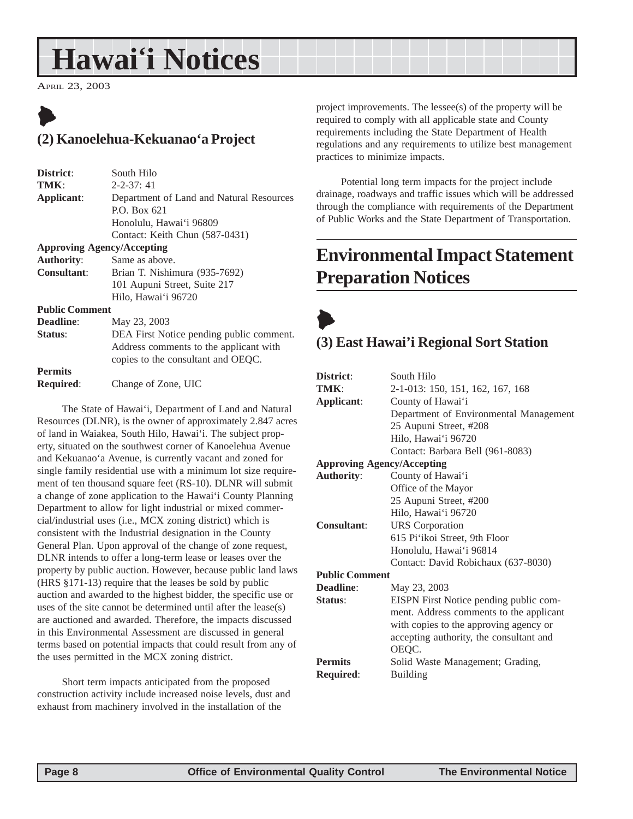## <span id="page-7-0"></span>**Hawai'i Notices**

APRIL 23, 2003

## $\blacktriangleright$ **(2) Kanoelehua-Kekuanao'a Project**

| South Hilo                               |
|------------------------------------------|
| $2 - 2 - 37$ : 41                        |
| Department of Land and Natural Resources |
| P.O. Box 621                             |
| Honolulu, Hawai'i 96809                  |
| Contact: Keith Chun (587-0431)           |
| <b>Approving Agency/Accepting</b>        |
| <b>Authority:</b><br>Same as above.      |
|                                          |

**Consultant**: Brian T. Nishimura (935-7692) 101 Aupuni Street, Suite 217 Hilo, Hawai'i 96720

**Public Comment**

**Deadline**: May 23, 2003 **Status**: DEA First Notice pending public comment. Address comments to the applicant with copies to the consultant and OEQC. **Permits**

**Required**: Change of Zone, UIC

The State of Hawai'i, Department of Land and Natural Resources (DLNR), is the owner of approximately 2.847 acres of land in Waiakea, South Hilo, Hawai'i. The subject property, situated on the southwest corner of Kanoelehua Avenue and Kekuanao'a Avenue, is currently vacant and zoned for single family residential use with a minimum lot size requirement of ten thousand square feet (RS-10). DLNR will submit a change of zone application to the Hawai'i County Planning Department to allow for light industrial or mixed commercial/industrial uses (i.e., MCX zoning district) which is consistent with the Industrial designation in the County General Plan. Upon approval of the change of zone request, DLNR intends to offer a long-term lease or leases over the property by public auction. However, because public land laws (HRS §171-13) require that the leases be sold by public auction and awarded to the highest bidder, the specific use or uses of the site cannot be determined until after the lease(s) are auctioned and awarded. Therefore, the impacts discussed in this Environmental Assessment are discussed in general terms based on potential impacts that could result from any of the uses permitted in the MCX zoning district.

Short term impacts anticipated from the proposed construction activity include increased noise levels, dust and exhaust from machinery involved in the installation of the

project improvements. The lessee(s) of the property will be required to comply with all applicable state and County requirements including the State Department of Health regulations and any requirements to utilize best management practices to minimize impacts.

Potential long term impacts for the project include drainage, roadways and traffic issues which will be addressed through the compliance with requirements of the Department of Public Works and the State Department of Transportation.

## **Environmental Impact Statement Preparation Notices**

## $\blacklozenge$ **(3) East Hawai'i Regional Sort Station**

| District:                         | South Hilo                              |
|-----------------------------------|-----------------------------------------|
| TMK:                              | 2-1-013: 150, 151, 162, 167, 168        |
| Applicant:                        | County of Hawai'i                       |
|                                   | Department of Environmental Management  |
|                                   | 25 Aupuni Street, #208                  |
|                                   | Hilo, Hawai'i 96720                     |
|                                   | Contact: Barbara Bell (961-8083)        |
| <b>Approving Agency/Accepting</b> |                                         |
| <b>Authority:</b>                 | County of Hawai'i                       |
|                                   | Office of the Mayor                     |
|                                   | 25 Aupuni Street, #200                  |
|                                   | Hilo, Hawai'i 96720                     |
| <b>Consultant:</b>                | <b>URS</b> Corporation                  |
|                                   | 615 Pi'ikoi Street, 9th Floor           |
|                                   | Honolulu, Hawai'i 96814                 |
|                                   | Contact: David Robichaux (637-8030)     |
| <b>Public Comment</b>             |                                         |
| Deadline:                         | May 23, 2003                            |
| Status:                           | EISPN First Notice pending public com-  |
|                                   | ment. Address comments to the applicant |
|                                   | with copies to the approving agency or  |
|                                   | accepting authority, the consultant and |
|                                   | OEQC.                                   |
| <b>Permits</b>                    | Solid Waste Management; Grading,        |
| Required:                         | <b>Building</b>                         |
|                                   |                                         |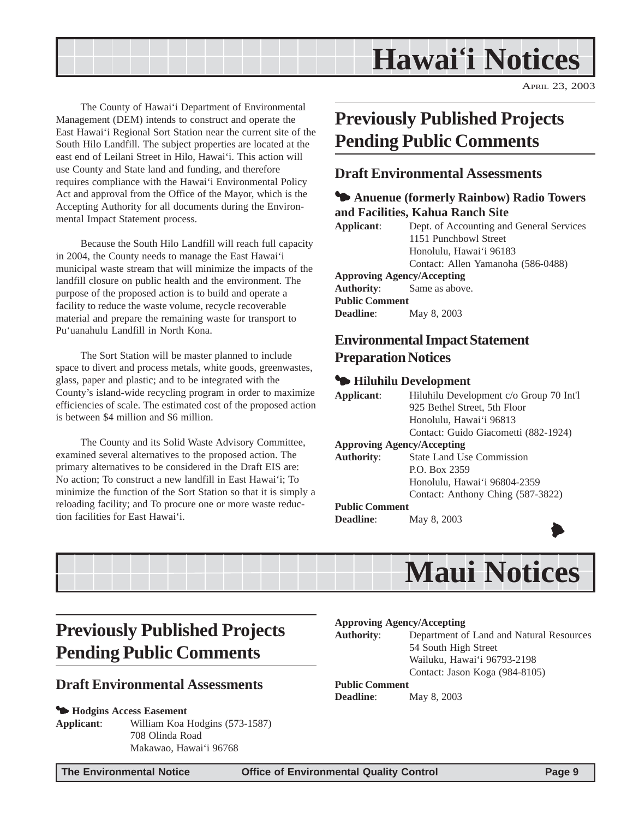## **Hawai'i Notices**

APRIL 23, 2003

<span id="page-8-0"></span>The County of Hawai'i Department of Environmental Management (DEM) intends to construct and operate the East Hawai'i Regional Sort Station near the current site of the South Hilo Landfill. The subject properties are located at the east end of Leilani Street in Hilo, Hawai'i. This action will use County and State land and funding, and therefore requires compliance with the Hawai'i Environmental Policy Act and approval from the Office of the Mayor, which is the Accepting Authority for all documents during the Environmental Impact Statement process.

Because the South Hilo Landfill will reach full capacity in 2004, the County needs to manage the East Hawai'i municipal waste stream that will minimize the impacts of the landfill closure on public health and the environment. The purpose of the proposed action is to build and operate a facility to reduce the waste volume, recycle recoverable material and prepare the remaining waste for transport to Pu'uanahulu Landfill in North Kona.

The Sort Station will be master planned to include space to divert and process metals, white goods, greenwastes, glass, paper and plastic; and to be integrated with the County's island-wide recycling program in order to maximize efficiencies of scale. The estimated cost of the proposed action is between \$4 million and \$6 million.

The County and its Solid Waste Advisory Committee, examined several alternatives to the proposed action. The primary alternatives to be considered in the Draft EIS are: No action; To construct a new landfill in East Hawai'i; To minimize the function of the Sort Station so that it is simply a reloading facility; and To procure one or more waste reduction facilities for East Hawai'i.

## **Previously Published Projects Pending Public Comments**

#### **Draft Environmental Assessments**

#### $\blacktriangleright$  **Anuenue (formerly Rainbow) Radio Towers and Facilities, Kahua Ranch Site**

**Applicant**: Dept. of Accounting and General Services 1151 Punchbowl Street Honolulu, Hawai'i 96183 Contact: Allen Yamanoha (586-0488) **Approving Agency/Accepting Authority**: Same as above.

**Public Comment Deadline**: May 8, 2003

## **Environmental Impact Statement Preparation Notices**

#### 3 **Hiluhilu Development**

| Applicant:            | Hiluhilu Development c/o Group 70 Int'l |
|-----------------------|-----------------------------------------|
|                       | 925 Bethel Street, 5th Floor            |
|                       | Honolulu, Hawai'i 96813                 |
|                       | Contact: Guido Giacometti (882-1924)    |
|                       | <b>Approving Agency/Accepting</b>       |
| <b>Authority:</b>     | <b>State Land Use Commission</b>        |
|                       | P.O. Box 2359                           |
|                       | Honolulu, Hawai'i 96804-2359            |
|                       | Contact: Anthony Ching (587-3822)       |
| <b>Public Comment</b> |                                         |
| <b>Deadline:</b>      | May 8, 2003                             |
|                       |                                         |



## **Previously Published Projects Pending Public Comments**

#### **Draft Environmental Assessments**

#### 3 **Hodgins Access Easement**

**Applicant**: William Koa Hodgins (573-1587) 708 Olinda Road Makawao, Hawai'i 96768

#### **Approving Agency/Accepting**

**Authority**: Department of Land and Natural Resources 54 South High Street Wailuku, Hawai'i 96793-2198 Contact: Jason Koga (984-8105)

#### **Public Comment**

**Deadline**: May 8, 2003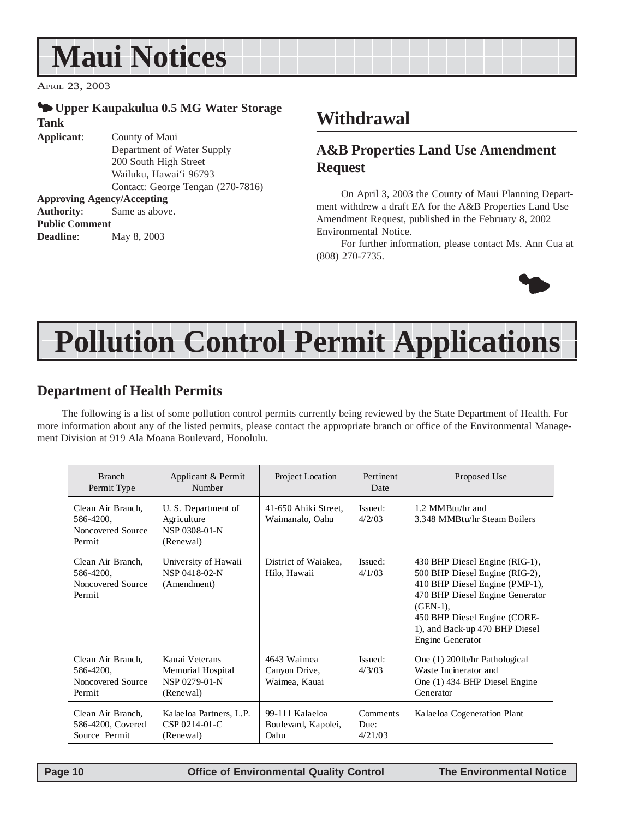## **Maui Notices**

APRIL 23, 2003

**Public Comment**

**Deadline**: May 8, 2003

#### 3 **Upper Kaupakulua 0.5 MG Water Storage Tank**

**Applicant**: County of Maui Department of Water Supply 200 South High Street Wailuku, Hawai'i 96793 Contact: George Tengan (270-7816) **Approving Agency/Accepting Authority**: Same as above.

## **Withdrawal**

### **A&B Properties Land Use Amendment Request**

On April 3, 2003 the County of Maui Planning Department withdrew a draft EA for the A&B Properties Land Use Amendment Request, published in the February 8, 2002 Environmental Notice.

For further information, please contact Ms. Ann Cua at (808) 270-7735.



## **Pollution Control Permit Applications**

#### **Department of Health Permits**

The following is a list of some pollution control permits currently being reviewed by the State Department of Health. For more information about any of the listed permits, please contact the appropriate branch or office of the Environmental Management Division at 919 Ala Moana Boulevard, Honolulu.

| <b>Branch</b><br>Permit Type                                  | Applicant & Permit<br>Number                                      | Project Location                               | Pertinent<br>Date           | Proposed Use                                                                                                                                                                                                                               |
|---------------------------------------------------------------|-------------------------------------------------------------------|------------------------------------------------|-----------------------------|--------------------------------------------------------------------------------------------------------------------------------------------------------------------------------------------------------------------------------------------|
| Clean Air Branch,<br>586-4200,<br>Noncovered Source<br>Permit | U. S. Department of<br>Agriculture<br>NSP 0308-01-N<br>(Renewal)  | 41-650 Ahiki Street,<br>Waimanalo, Oahu        | Issued:<br>4/2/03           | 1.2 MMBtu/hr and<br>3.348 MMBtu/hr Steam Boilers                                                                                                                                                                                           |
| Clean Air Branch,<br>586-4200,<br>Noncovered Source<br>Permit | University of Hawaii<br>NSP 0418-02-N<br>(Amendment)              | District of Waiakea,<br>Hilo, Hawaii           | Issued:<br>4/1/03           | 430 BHP Diesel Engine (RIG-1),<br>500 BHP Diesel Engine (RIG-2),<br>410 BHP Diesel Engine (PMP-1),<br>470 BHP Diesel Engine Generator<br>$(GEN-1)$ ,<br>450 BHP Diesel Engine (CORE-<br>1), and Back-up 470 BHP Diesel<br>Engine Generator |
| Clean Air Branch,<br>586-4200,<br>Noncovered Source<br>Permit | Kauai Veterans<br>Memorial Hospital<br>NSP 0279-01-N<br>(Renewal) | 4643 Waimea<br>Canyon Drive,<br>Waimea, Kauai  | Issued:<br>4/3/03           | One (1) 2001b/hr Pathological<br>Waste Incinerator and<br>One (1) 434 BHP Diesel Engine<br>Generator                                                                                                                                       |
| Clean Air Branch,<br>586-4200, Covered<br>Source Permit       | Kalaeloa Partners, L.P.<br>$CSP 0214-01-C$<br>(Renewal)           | 99-111 Kalaeloa<br>Boulevard, Kapolei,<br>Oahu | Comments<br>Due:<br>4/21/03 | Kalaeloa Cogeneration Plant                                                                                                                                                                                                                |

 **Page 10 Control Control Control Control Control Control Control Control Control Control Page 10 Control Control Control Control Control Control Control Control Control Control Control Control Control Control Control Cont**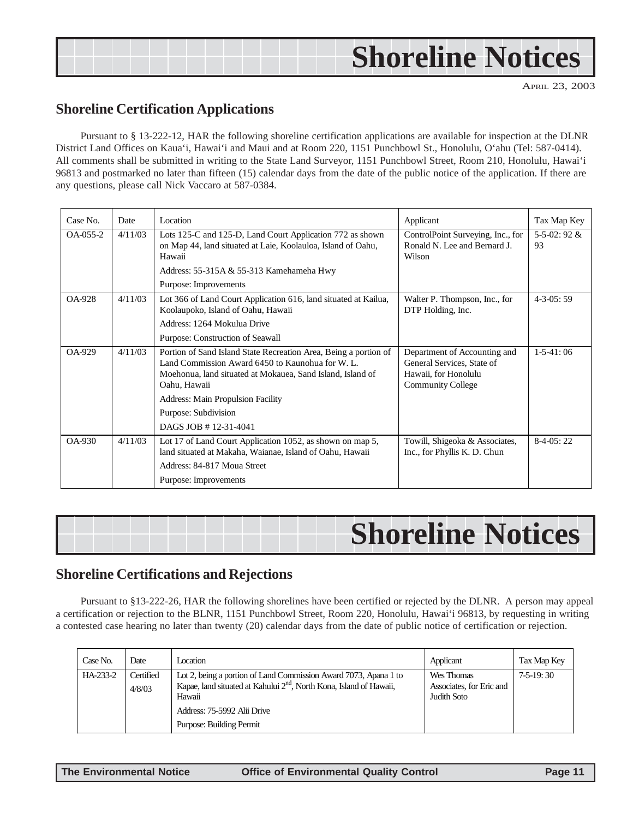## **Shoreline Notices**

APRIL 23, 2003

#### **Shoreline Certification Applications**

Pursuant to § 13-222-12, HAR the following shoreline certification applications are available for inspection at the DLNR District Land Offices on Kaua'i, Hawai'i and Maui and at Room 220, 1151 Punchbowl St., Honolulu, O'ahu (Tel: 587-0414). All comments shall be submitted in writing to the State Land Surveyor, 1151 Punchbowl Street, Room 210, Honolulu, Hawai'i 96813 and postmarked no later than fifteen (15) calendar days from the date of the public notice of the application. If there are any questions, please call Nick Vaccaro at 587-0384.

| Case No.      | Date    | Location                                                                                                                                                                                           | Applicant                                                                                                      | Tax Map Key               |
|---------------|---------|----------------------------------------------------------------------------------------------------------------------------------------------------------------------------------------------------|----------------------------------------------------------------------------------------------------------------|---------------------------|
| $OA-0.55-2$   | 4/11/03 | Lots 125-C and 125-D, Land Court Application 772 as shown<br>on Map 44, land situated at Laie, Koolauloa, Island of Oahu,<br>Hawaii                                                                | ControlPoint Surveying, Inc., for<br>Ronald N. Lee and Bernard J.<br>Wilson                                    | $5 - 5 - 02$ : 92 &<br>93 |
|               |         | Address: $55-315A & 55-313$ Kamehameha Hwy                                                                                                                                                         |                                                                                                                |                           |
|               |         | Purpose: Improvements                                                                                                                                                                              |                                                                                                                |                           |
| <b>OA-928</b> | 4/11/03 | Lot 366 of Land Court Application 616, land situated at Kailua,<br>Koolaupoko, Island of Oahu, Hawaii                                                                                              | Walter P. Thompson, Inc., for<br>DTP Holding, Inc.                                                             | $4 - 3 - 0.5$ : 59        |
|               |         | Address: 1264 Mokulua Drive                                                                                                                                                                        |                                                                                                                |                           |
|               |         | Purpose: Construction of Seawall                                                                                                                                                                   |                                                                                                                |                           |
| OA-929        | 4/11/03 | Portion of Sand Island State Recreation Area, Being a portion of<br>Land Commission Award 6450 to Kaunohua for W. L.<br>Moehonua, land situated at Mokauea, Sand Island, Island of<br>Oahu, Hawaii | Department of Accounting and<br>General Services, State of<br>Hawaii, for Honolulu<br><b>Community College</b> | $1-5-41:06$               |
|               |         | <b>Address: Main Propulsion Facility</b>                                                                                                                                                           |                                                                                                                |                           |
|               |         | Purpose: Subdivision                                                                                                                                                                               |                                                                                                                |                           |
|               |         | DAGS JOB #12-31-4041                                                                                                                                                                               |                                                                                                                |                           |
| $OA-930$      | 4/11/03 | Lot 17 of Land Court Application 1052, as shown on map 5,<br>land situated at Makaha, Waianae, Island of Oahu, Hawaii                                                                              | Towill, Shigeoka & Associates,<br>Inc., for Phyllis K. D. Chun                                                 | $8-4-05:22$               |
|               |         | Address: 84-817 Moua Street                                                                                                                                                                        |                                                                                                                |                           |
|               |         | Purpose: Improvements                                                                                                                                                                              |                                                                                                                |                           |

#### **Shoreline Certifications and Rejections**

Pursuant to §13-222-26, HAR the following shorelines have been certified or rejected by the DLNR. A person may appeal a certification or rejection to the BLNR, 1151 Punchbowl Street, Room 220, Honolulu, Hawai'i 96813, by requesting in writing a contested case hearing no later than twenty (20) calendar days from the date of public notice of certification or rejection.

| Case No. | Date                | Location                                                                                                                                                      | Applicant                                             | Tax Map Key |
|----------|---------------------|---------------------------------------------------------------------------------------------------------------------------------------------------------------|-------------------------------------------------------|-------------|
| HA-233-2 | Certified<br>4/8/03 | Lot 2, being a portion of Land Commission Award 7073, Apana 1 to<br>Kapae, land situated at Kahului 2 <sup>nd</sup> , North Kona, Island of Hawaii,<br>Hawaii | Wes Thomas<br>Associates, for Eric and<br>Judith Soto | $7-5-19:30$ |
|          |                     | Address: 75-5992 Alii Drive<br>Purpose: Building Permit                                                                                                       |                                                       |             |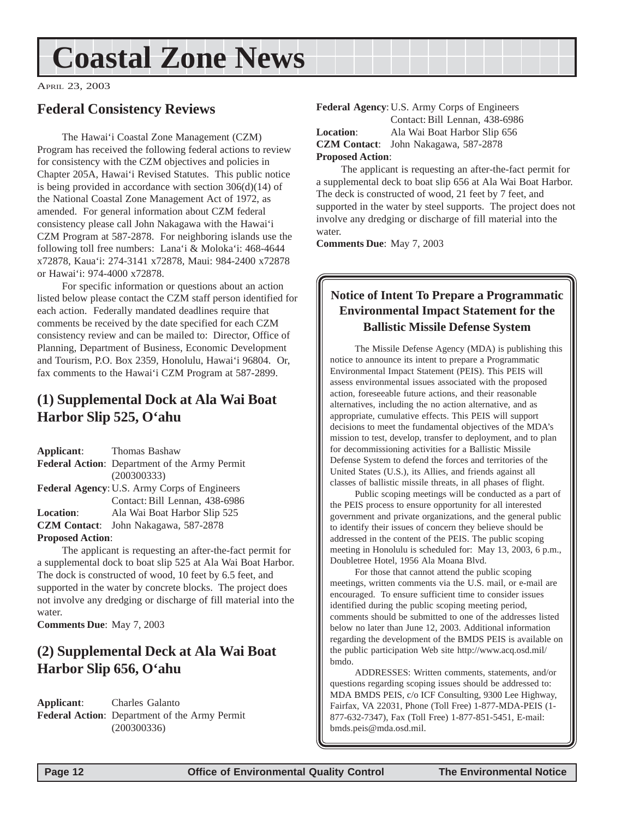## <span id="page-11-0"></span>**Coastal Zone News**

APRIL 23, 2003

#### **Federal Consistency Reviews**

The Hawai'i Coastal Zone Management (CZM) Program has received the following federal actions to review for consistency with the CZM objectives and policies in Chapter 205A, Hawai'i Revised Statutes. This public notice is being provided in accordance with section 306(d)(14) of the National Coastal Zone Management Act of 1972, as amended. For general information about CZM federal consistency please call John Nakagawa with the Hawai'i CZM Program at 587-2878. For neighboring islands use the following toll free numbers: Lana'i & Moloka'i: 468-4644 x72878, Kaua'i: 274-3141 x72878, Maui: 984-2400 x72878 or Hawai'i: 974-4000 x72878.

For specific information or questions about an action listed below please contact the CZM staff person identified for each action. Federally mandated deadlines require that comments be received by the date specified for each CZM consistency review and can be mailed to: Director, Office of Planning, Department of Business, Economic Development and Tourism, P.O. Box 2359, Honolulu, Hawai'i 96804. Or, fax comments to the Hawai'i CZM Program at 587-2899.

## **(1) Supplemental Dock at Ala Wai Boat Harbor Slip 525, O'ahu**

**Applicant**: Thomas Bashaw **Federal Action**: Department of the Army Permit (200300333) **Federal Agency**: U.S. Army Corps of Engineers Contact: Bill Lennan, 438-6986 **Location**: Ala Wai Boat Harbor Slip 525 **CZM Contact**: John Nakagawa, 587-2878 **Proposed Action**:

The applicant is requesting an after-the-fact permit for a supplemental dock to boat slip 525 at Ala Wai Boat Harbor. The dock is constructed of wood, 10 feet by 6.5 feet, and supported in the water by concrete blocks. The project does not involve any dredging or discharge of fill material into the water.

**Comments Due**: May 7, 2003

### **(2) Supplemental Deck at Ala Wai Boat Harbor Slip 656, O'ahu**

**Applicant**: Charles Galanto **Federal Action**: Department of the Army Permit (200300336)

**Federal Agency**: U.S. Army Corps of Engineers Contact: Bill Lennan, 438-6986 **Location**: Ala Wai Boat Harbor Slip 656 **CZM Contact**: John Nakagawa, 587-2878 **Proposed Action**:

The applicant is requesting an after-the-fact permit for a supplemental deck to boat slip 656 at Ala Wai Boat Harbor. The deck is constructed of wood, 21 feet by 7 feet, and supported in the water by steel supports. The project does not involve any dredging or discharge of fill material into the water.

**Comments Due**: May 7, 2003

#### **Notice of Intent To Prepare a Programmatic Environmental Impact Statement for the Ballistic Missile Defense System**

The Missile Defense Agency (MDA) is publishing this notice to announce its intent to prepare a Programmatic Environmental Impact Statement (PEIS). This PEIS will assess environmental issues associated with the proposed action, foreseeable future actions, and their reasonable alternatives, including the no action alternative, and as appropriate, cumulative effects. This PEIS will support decisions to meet the fundamental objectives of the MDA's mission to test, develop, transfer to deployment, and to plan for decommissioning activities for a Ballistic Missile Defense System to defend the forces and territories of the United States (U.S.), its Allies, and friends against all classes of ballistic missile threats, in all phases of flight.

Public scoping meetings will be conducted as a part of the PEIS process to ensure opportunity for all interested government and private organizations, and the general public to identify their issues of concern they believe should be addressed in the content of the PEIS. The public scoping meeting in Honolulu is scheduled for: May 13, 2003, 6 p.m., Doubletree Hotel, 1956 Ala Moana Blvd.

For those that cannot attend the public scoping meetings, written comments via the U.S. mail, or e-mail are encouraged. To ensure sufficient time to consider issues identified during the public scoping meeting period, comments should be submitted to one of the addresses listed below no later than June 12, 2003. Additional information regarding the development of the BMDS PEIS is available on the public participation Web site http://www.acq.osd.mil/ bmdo.

ADDRESSES: Written comments, statements, and/or questions regarding scoping issues should be addressed to: MDA BMDS PEIS, c/o ICF Consulting, 9300 Lee Highway, Fairfax, VA 22031, Phone (Toll Free) 1-877-MDA-PEIS (1- 877-632-7347), Fax (Toll Free) 1-877-851-5451, E-mail: bmds.peis@mda.osd.mil.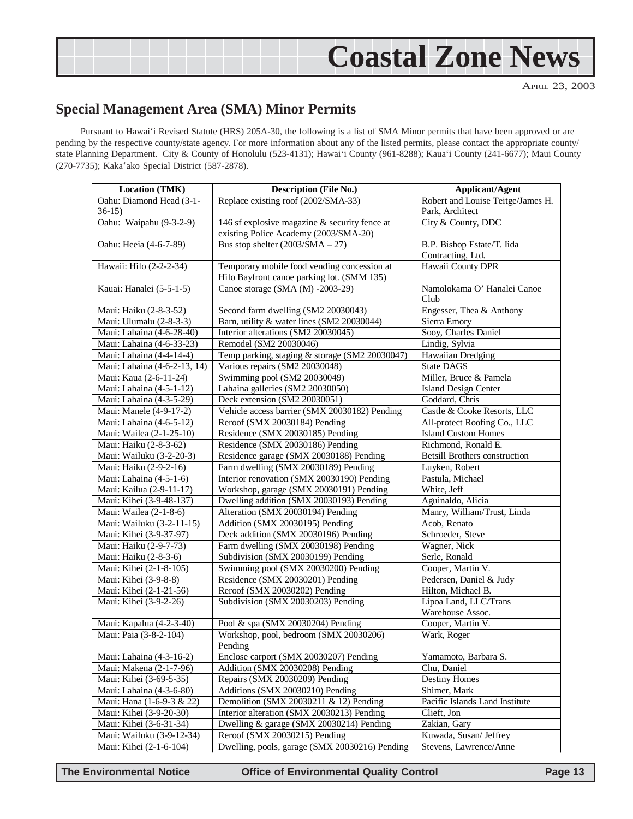<span id="page-12-0"></span>

### **Special Management Area (SMA) Minor Permits**

Pursuant to Hawai'i Revised Statute (HRS) 205A-30, the following is a list of SMA Minor permits that have been approved or are pending by the respective county/state agency. For more information about any of the listed permits, please contact the appropriate county/ state Planning Department. City & County of Honolulu (523-4131); Hawai'i County (961-8288); Kaua'i County (241-6677); Maui County (270-7735); Kaka'ako Special District (587-2878).

| Location (TMK)               | <b>Description (File No.)</b>                   | <b>Applicant/Agent</b>               |
|------------------------------|-------------------------------------------------|--------------------------------------|
| Oahu: Diamond Head (3-1-     | Replace existing roof (2002/SMA-33)             | Robert and Louise Teitge/James H.    |
| $36-15$                      |                                                 | Park, Architect                      |
| Oahu: Waipahu (9-3-2-9)      | 146 sf explosive magazine $&$ security fence at | City & County, DDC                   |
|                              | existing Police Academy (2003/SMA-20)           |                                      |
| Oahu: Heeia (4-6-7-89)       | Bus stop shelter $(2003/SMA - 27)$              | B.P. Bishop Estate/T. Iida           |
|                              |                                                 | Contracting, Ltd.                    |
| Hawaii: Hilo (2-2-2-34)      | Temporary mobile food vending concession at     | Hawaii County DPR                    |
|                              | Hilo Bayfront canoe parking lot. (SMM 135)      |                                      |
| Kauai: Hanalei (5-5-1-5)     | Canoe storage (SMA (M) -2003-29)                | Namolokama O' Hanalei Canoe          |
|                              |                                                 | Club                                 |
| Maui: Haiku (2-8-3-52)       | Second farm dwelling (SM2 20030043)             | Engesser, Thea & Anthony             |
| Maui: Ulumalu (2-8-3-3)      | Barn, utility & water lines (SM2 20030044)      | Sierra Emory                         |
| Maui: Lahaina (4-6-28-40)    | Interior alterations (SM2 20030045)             | Sooy, Charles Daniel                 |
| Maui: Lahaina (4-6-33-23)    | Remodel (SM2 20030046)                          | Lindig, Sylvia                       |
| Maui: Lahaina (4-4-14-4)     | Temp parking, staging & storage (SM2 20030047)  | Hawaiian Dredging                    |
| Maui: Lahaina (4-6-2-13, 14) | Various repairs (SM2 20030048)                  | <b>State DAGS</b>                    |
| Maui: Kaua (2-6-11-24)       | Swimming pool (SM2 20030049)                    | Miller, Bruce & Pamela               |
| Maui: Lahaina (4-5-1-12)     | Lahaina galleries (SM2 20030050)                | <b>Island Design Center</b>          |
| Maui: Lahaina (4-3-5-29)     | Deck extension (SM2 20030051)                   | Goddard, Chris                       |
| Maui: Manele (4-9-17-2)      | Vehicle access barrier (SMX 20030182) Pending   | Castle & Cooke Resorts, LLC          |
| Maui: Lahaina (4-6-5-12)     | Reroof (SMX 20030184) Pending                   | All-protect Roofing Co., LLC         |
| Maui: Wailea (2-1-25-10)     | Residence (SMX 20030185) Pending                | <b>Island Custom Homes</b>           |
| Maui: Haiku (2-8-3-62)       | Residence (SMX 20030186) Pending                | Richmond, Ronald E.                  |
| Maui: Wailuku (3-2-20-3)     | Residence garage (SMX 20030188) Pending         | <b>Betsill Brothers construction</b> |
| Maui: Haiku (2-9-2-16)       | Farm dwelling (SMX 20030189) Pending            | Luyken, Robert                       |
| Maui: Lahaina (4-5-1-6)      | Interior renovation (SMX 20030190) Pending      | Pastula, Michael                     |
| Maui: Kailua (2-9-11-17)     | Workshop, garage (SMX 20030191) Pending         | White, Jeff                          |
| Maui: Kihei (3-9-48-137)     | Dwelling addition (SMX 20030193) Pending        | Aguinaldo, Alicia                    |
| Maui: Wailea (2-1-8-6)       | Alteration (SMX 20030194) Pending               | Manry, William/Trust, Linda          |
| Maui: Wailuku (3-2-11-15)    | Addition (SMX 20030195) Pending                 | Acob, Renato                         |
| Maui: Kihei (3-9-37-97)      | Deck addition (SMX 20030196) Pending            | Schroeder, Steve                     |
| Maui: Haiku (2-9-7-73)       | Farm dwelling (SMX 20030198) Pending            | Wagner, Nick                         |
| Maui: Haiku (2-8-3-6)        | Subdivision (SMX 20030199) Pending              | Serle, Ronald                        |
| Maui: Kihei (2-1-8-105)      | Swimming pool (SMX 20030200) Pending            | Cooper, Martin V.                    |
| Maui: Kihei (3-9-8-8)        | Residence (SMX 20030201) Pending                | Pedersen, Daniel & Judy              |
| Maui: Kihei (2-1-21-56)      | Reroof (SMX 20030202) Pending                   | Hilton, Michael B.                   |
| Maui: Kihei (3-9-2-26)       | Subdivision (SMX 20030203) Pending              | Lipoa Land, LLC/Trans                |
|                              |                                                 | Warehouse Assoc.                     |
| Maui: Kapalua (4-2-3-40)     | Pool & spa (SMX 20030204) Pending               | Cooper, Martin V.                    |
| Maui: Paia (3-8-2-104)       | Workshop, pool, bedroom (SMX 20030206)          | Wark, Roger                          |
|                              | Pending                                         |                                      |
| Maui: Lahaina (4-3-16-2)     | Enclose carport (SMX 20030207) Pending          | Yamamoto, Barbara S.                 |
| Maui: Makena (2-1-7-96)      | Addition (SMX 20030208) Pending                 | Chu, Daniel                          |
| Maui: Kihei (3-69-5-35)      | Repairs (SMX 20030209) Pending                  | Destiny Homes                        |
| Maui: Lahaina (4-3-6-80)     | Additions (SMX 20030210) Pending                | Shimer, Mark                         |
| Maui: Hana (1-6-9-3 & 22)    | Demolition (SMX 20030211 & 12) Pending          | Pacific Islands Land Institute       |
| Maui: Kihei (3-9-20-30)      | Interior alteration (SMX 20030213) Pending      | Clieft, Jon                          |
| Maui: Kihei (3-6-31-34)      | Dwelling & garage (SMX 20030214) Pending        | Zakian, Gary                         |
| Maui: Wailuku (3-9-12-34)    | Reroof (SMX 20030215) Pending                   | Kuwada, Susan/ Jeffrey               |
| Maui: Kihei (2-1-6-104)      | Dwelling, pools, garage (SMX 20030216) Pending  | Stevens, Lawrence/Anne               |

**The Environmental Notice Office of Environmental Quality Control Page 13**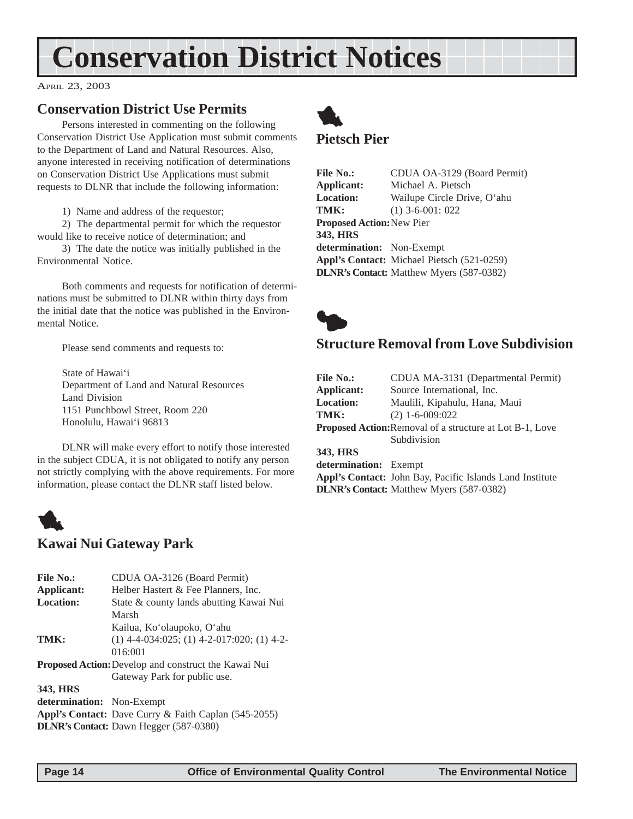## <span id="page-13-0"></span>**Conservation District Notices**

APRIL 23, 2003

### **Conservation District Use Permits**

Persons interested in commenting on the following Conservation District Use Application must submit comments to the Department of Land and Natural Resources. Also, anyone interested in receiving notification of determinations on Conservation District Use Applications must submit requests to DLNR that include the following information:

1) Name and address of the requestor;

2) The departmental permit for which the requestor would like to receive notice of determination; and

3) The date the notice was initially published in the Environmental Notice.

Both comments and requests for notification of determinations must be submitted to DLNR within thirty days from the initial date that the notice was published in the Environmental Notice.

Please send comments and requests to:

State of Hawai'i Department of Land and Natural Resources Land Division 1151 Punchbowl Street, Room 220 Honolulu, Hawai'i 96813

DLNR will make every effort to notify those interested in the subject CDUA, it is not obligated to notify any person not strictly complying with the above requirements. For more information, please contact the DLNR staff listed below.



### **Kawai Nui Gateway Park**

| <b>File No.:</b>          | CDUA OA-3126 (Board Permit)                                 |
|---------------------------|-------------------------------------------------------------|
| Applicant:                | Helber Hastert & Fee Planners, Inc.                         |
| <b>Location:</b>          | State & county lands abutting Kawai Nui                     |
|                           | Marsh                                                       |
|                           | Kailua, Ko'olaupoko, O'ahu                                  |
| TMK:                      | $(1)$ 4-4-034:025; (1) 4-2-017:020; (1) 4-2-                |
|                           | 016:001                                                     |
|                           | <b>Proposed Action:</b> Develop and construct the Kawai Nui |
|                           | Gateway Park for public use.                                |
| 343, HRS                  |                                                             |
| determination: Non-Exempt |                                                             |
|                           | <b>Appl's Contact:</b> Dave Curry & Faith Caplan (545-2055) |
|                           |                                                             |

**DLNR's Contact:** Dawn Hegger (587-0380)



#### **Pietsch Pier**

File No.: CDUA OA-3129 (Board Permit) **Applicant:** Michael A. Pietsch **Location:** Wailupe Circle Drive, O'ahu **TMK:** (1) 3-6-001: 022 **Proposed Action:**New Pier **343, HRS determination:** Non-Exempt **Appl's Contact:** Michael Pietsch (521-0259) **DLNR's Contact:** Matthew Myers (587-0382)



### **Structure Removal from Love Subdivision**

| <b>File No.:</b>                                                | CDUA MA-3131 (Departmental Permit)                       |  |
|-----------------------------------------------------------------|----------------------------------------------------------|--|
| Applicant:                                                      | Source International, Inc.                               |  |
| <b>Location:</b>                                                | Maulili, Kipahulu, Hana, Maui                            |  |
| TMK:                                                            | $(2)$ 1-6-009:022                                        |  |
| <b>Proposed Action:</b> Removal of a structure at Lot B-1, Love |                                                          |  |
|                                                                 | Subdivision                                              |  |
| 343, HRS                                                        |                                                          |  |
| determination: Exempt                                           |                                                          |  |
|                                                                 | Appl's Contact: John Bay, Pacific Islands Land Institute |  |
|                                                                 | <b>DLNR's Contact:</b> Matthew Myers (587-0382)          |  |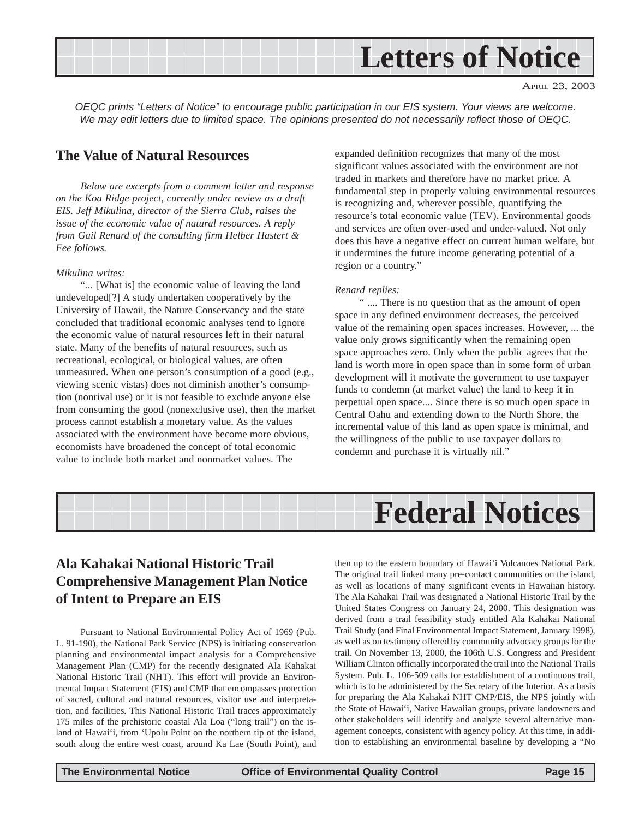<span id="page-14-0"></span>

*OEQC prints "Letters of Notice" to encourage public participation in our EIS system. Your views are welcome. We may edit letters due to limited space. The opinions presented do not necessarily reflect those of OEQC.*

#### **The Value of Natural Resources**

*Below are excerpts from a comment letter and response on the Koa Ridge project, currently under review as a draft EIS. Jeff Mikulina, director of the Sierra Club, raises the issue of the economic value of natural resources. A reply from Gail Renard of the consulting firm Helber Hastert & Fee follows.*

#### *Mikulina writes:*

"... [What is] the economic value of leaving the land undeveloped[?] A study undertaken cooperatively by the University of Hawaii, the Nature Conservancy and the state concluded that traditional economic analyses tend to ignore the economic value of natural resources left in their natural state. Many of the benefits of natural resources, such as recreational, ecological, or biological values, are often unmeasured. When one person's consumption of a good (e.g., viewing scenic vistas) does not diminish another's consumption (nonrival use) or it is not feasible to exclude anyone else from consuming the good (nonexclusive use), then the market process cannot establish a monetary value. As the values associated with the environment have become more obvious, economists have broadened the concept of total economic value to include both market and nonmarket values. The

expanded definition recognizes that many of the most significant values associated with the environment are not traded in markets and therefore have no market price. A fundamental step in properly valuing environmental resources is recognizing and, wherever possible, quantifying the resource's total economic value (TEV). Environmental goods and services are often over-used and under-valued. Not only does this have a negative effect on current human welfare, but it undermines the future income generating potential of a region or a country."

#### *Renard replies:*

" .... There is no question that as the amount of open space in any defined environment decreases, the perceived value of the remaining open spaces increases. However, ... the value only grows significantly when the remaining open space approaches zero. Only when the public agrees that the land is worth more in open space than in some form of urban development will it motivate the government to use taxpayer funds to condemn (at market value) the land to keep it in perpetual open space.... Since there is so much open space in Central Oahu and extending down to the North Shore, the incremental value of this land as open space is minimal, and the willingness of the public to use taxpayer dollars to condemn and purchase it is virtually nil."



### **Ala Kahakai National Historic Trail Comprehensive Management Plan Notice of Intent to Prepare an EIS**

Pursuant to National Environmental Policy Act of 1969 (Pub. L. 91-190), the National Park Service (NPS) is initiating conservation planning and environmental impact analysis for a Comprehensive Management Plan (CMP) for the recently designated Ala Kahakai National Historic Trail (NHT). This effort will provide an Environmental Impact Statement (EIS) and CMP that encompasses protection of sacred, cultural and natural resources, visitor use and interpretation, and facilities. This National Historic Trail traces approximately 175 miles of the prehistoric coastal Ala Loa ("long trail") on the island of Hawai'i, from 'Upolu Point on the northern tip of the island, south along the entire west coast, around Ka Lae (South Point), and

then up to the eastern boundary of Hawai'i Volcanoes National Park. The original trail linked many pre-contact communities on the island, as well as locations of many significant events in Hawaiian history. The Ala Kahakai Trail was designated a National Historic Trail by the United States Congress on January 24, 2000. This designation was derived from a trail feasibility study entitled Ala Kahakai National Trail Study (and Final Environmental Impact Statement, January 1998), as well as on testimony offered by community advocacy groups for the trail. On November 13, 2000, the 106th U.S. Congress and President William Clinton officially incorporated the trail into the National Trails System. Pub. L. 106-509 calls for establishment of a continuous trail, which is to be administered by the Secretary of the Interior. As a basis for preparing the Ala Kahakai NHT CMP/EIS, the NPS jointly with the State of Hawai'i, Native Hawaiian groups, private landowners and other stakeholders will identify and analyze several alternative management concepts, consistent with agency policy. At this time, in addition to establishing an environmental baseline by developing a "No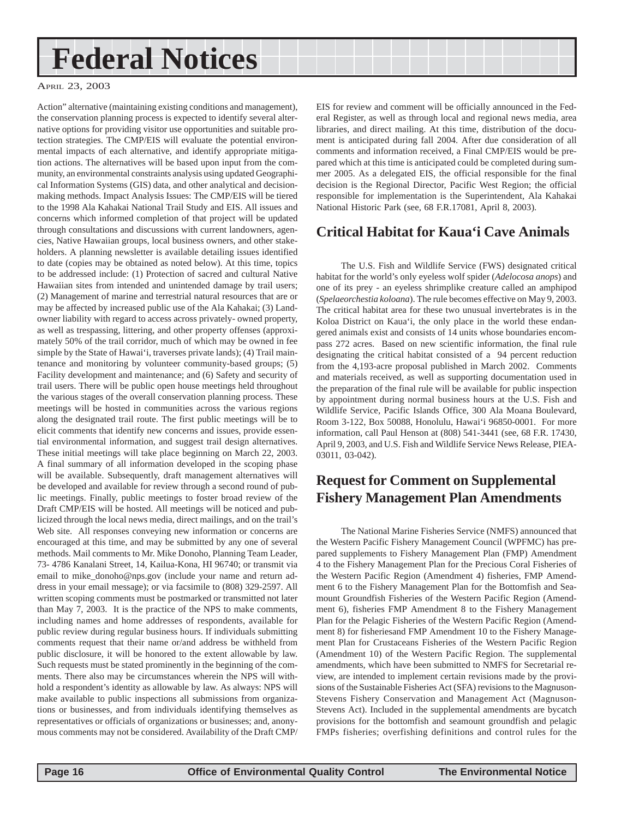## <span id="page-15-0"></span>**Federal Notices**

#### APRIL 23, 2003

Action" alternative (maintaining existing conditions and management), the conservation planning process is expected to identify several alternative options for providing visitor use opportunities and suitable protection strategies. The CMP/EIS will evaluate the potential environmental impacts of each alternative, and identify appropriate mitigation actions. The alternatives will be based upon input from the community, an environmental constraints analysis using updated Geographical Information Systems (GIS) data, and other analytical and decisionmaking methods. Impact Analysis Issues: The CMP/EIS will be tiered to the 1998 Ala Kahakai National Trail Study and EIS. All issues and concerns which informed completion of that project will be updated through consultations and discussions with current landowners, agencies, Native Hawaiian groups, local business owners, and other stakeholders. A planning newsletter is available detailing issues identified to date (copies may be obtained as noted below). At this time, topics to be addressed include: (1) Protection of sacred and cultural Native Hawaiian sites from intended and unintended damage by trail users; (2) Management of marine and terrestrial natural resources that are or may be affected by increased public use of the Ala Kahakai; (3) Landowner liability with regard to access across privately- owned property, as well as trespassing, littering, and other property offenses (approximately 50% of the trail corridor, much of which may be owned in fee simple by the State of Hawai'i, traverses private lands); (4) Trail maintenance and monitoring by volunteer community-based groups; (5) Facility development and maintenance; and (6) Safety and security of trail users. There will be public open house meetings held throughout the various stages of the overall conservation planning process. These meetings will be hosted in communities across the various regions along the designated trail route. The first public meetings will be to elicit comments that identify new concerns and issues, provide essential environmental information, and suggest trail design alternatives. These initial meetings will take place beginning on March 22, 2003. A final summary of all information developed in the scoping phase will be available. Subsequently, draft management alternatives will be developed and available for review through a second round of public meetings. Finally, public meetings to foster broad review of the Draft CMP/EIS will be hosted. All meetings will be noticed and publicized through the local news media, direct mailings, and on the trail's Web site. All responses conveying new information or concerns are encouraged at this time, and may be submitted by any one of several methods. Mail comments to Mr. Mike Donoho, Planning Team Leader, 73- 4786 Kanalani Street, 14, Kailua-Kona, HI 96740; or transmit via email to mike\_donoho@nps.gov (include your name and return address in your email message); or via facsimile to (808) 329-2597. All written scoping comments must be postmarked or transmitted not later than May 7, 2003. It is the practice of the NPS to make comments, including names and home addresses of respondents, available for public review during regular business hours. If individuals submitting comments request that their name or/and address be withheld from public disclosure, it will be honored to the extent allowable by law. Such requests must be stated prominently in the beginning of the comments. There also may be circumstances wherein the NPS will withhold a respondent's identity as allowable by law. As always: NPS will make available to public inspections all submissions from organizations or businesses, and from individuals identifying themselves as representatives or officials of organizations or businesses; and, anonymous comments may not be considered. Availability of the Draft CMP/

EIS for review and comment will be officially announced in the Federal Register, as well as through local and regional news media, area libraries, and direct mailing. At this time, distribution of the document is anticipated during fall 2004. After due consideration of all comments and information received, a Final CMP/EIS would be prepared which at this time is anticipated could be completed during summer 2005. As a delegated EIS, the official responsible for the final decision is the Regional Director, Pacific West Region; the official responsible for implementation is the Superintendent, Ala Kahakai National Historic Park (see, 68 F.R.17081, April 8, 2003).

### **Critical Habitat for Kaua'i Cave Animals**

The U.S. Fish and Wildlife Service (FWS) designated critical habitat for the world's only eyeless wolf spider (*Adelocosa anops*) and one of its prey - an eyeless shrimplike creature called an amphipod (*Spelaeorchestia koloana*). The rule becomes effective on May 9, 2003. The critical habitat area for these two unusual invertebrates is in the Koloa District on Kaua'i, the only place in the world these endangered animals exist and consists of 14 units whose boundaries encompass 272 acres. Based on new scientific information, the final rule designating the critical habitat consisted of a 94 percent reduction from the 4,193-acre proposal published in March 2002. Comments and materials received, as well as supporting documentation used in the preparation of the final rule will be available for public inspection by appointment during normal business hours at the U.S. Fish and Wildlife Service, Pacific Islands Office, 300 Ala Moana Boulevard, Room 3-122, Box 50088, Honolulu, Hawai'i 96850-0001. For more information, call Paul Henson at (808) 541-3441 (see, 68 F.R. 17430, April 9, 2003, and U.S. Fish and Wildlife Service News Release, PIEA-03011, 03-042).

### **Request for Comment on Supplemental Fishery Management Plan Amendments**

The National Marine Fisheries Service (NMFS) announced that the Western Pacific Fishery Management Council (WPFMC) has prepared supplements to Fishery Management Plan (FMP) Amendment 4 to the Fishery Management Plan for the Precious Coral Fisheries of the Western Pacific Region (Amendment 4) fisheries, FMP Amendment 6 to the Fishery Management Plan for the Bottomfish and Seamount Groundfish Fisheries of the Western Pacific Region (Amendment 6), fisheries FMP Amendment 8 to the Fishery Management Plan for the Pelagic Fisheries of the Western Pacific Region (Amendment 8) for fisheriesand FMP Amendment 10 to the Fishery Management Plan for Crustaceans Fisheries of the Western Pacific Region (Amendment 10) of the Western Pacific Region. The supplemental amendments, which have been submitted to NMFS for Secretarial review, are intended to implement certain revisions made by the provisions of the Sustainable Fisheries Act (SFA) revisions to the Magnuson-Stevens Fishery Conservation and Management Act (Magnuson-Stevens Act). Included in the supplemental amendments are bycatch provisions for the bottomfish and seamount groundfish and pelagic FMPs fisheries; overfishing definitions and control rules for the